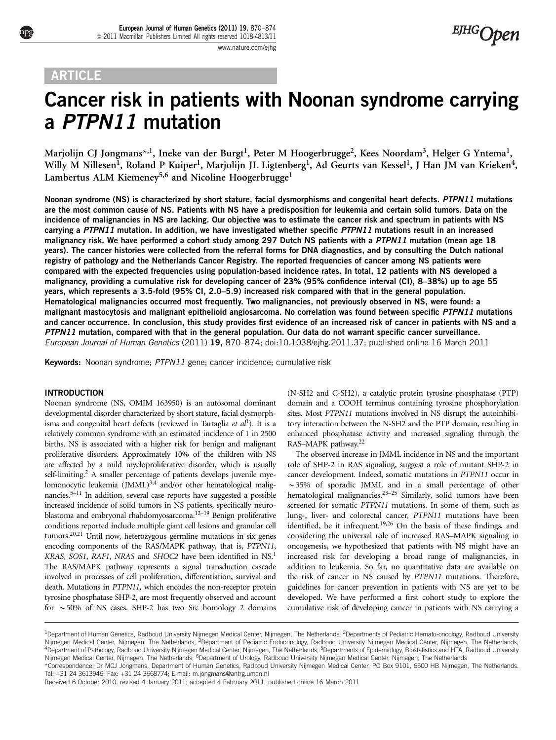# **ARTICLE**

# Cancer risk in patients with Noonan syndrome carrying a PTPN11 mutation

Marjolijn CJ Jongmans<sup>\*,1</sup>, Ineke van der Burgt<sup>1</sup>, Peter M Hoogerbrugge<sup>2</sup>, Kees Noordam<sup>3</sup>, Helger G Yntema<sup>1</sup>, Willy M Nillesen<sup>1</sup>, Roland P Kuiper<sup>1</sup>, Marjolijn JL Ligtenberg<sup>1</sup>, Ad Geurts van Kessel<sup>1</sup>, J Han JM van Krieken<sup>4</sup>, Lambertus ALM Kiemeney<sup>5,6</sup> and Nicoline Hoogerbrugge<sup>1</sup>

Noonan syndrome (NS) is characterized by short stature, facial dysmorphisms and congenital heart defects. PTPN11 mutations are the most common cause of NS. Patients with NS have a predisposition for leukemia and certain solid tumors. Data on the incidence of malignancies in NS are lacking. Our objective was to estimate the cancer risk and spectrum in patients with NS carrying a PTPN11 mutation. In addition, we have investigated whether specific PTPN11 mutations result in an increased malignancy risk. We have performed a cohort study among 297 Dutch NS patients with a PTPN11 mutation (mean age 18 years). The cancer histories were collected from the referral forms for DNA diagnostics, and by consulting the Dutch national registry of pathology and the Netherlands Cancer Registry. The reported frequencies of cancer among NS patients were compared with the expected frequencies using population-based incidence rates. In total, 12 patients with NS developed a malignancy, providing a cumulative risk for developing cancer of 23% (95% confidence interval (CI), 8–38%) up to age 55 years, which represents a 3.5-fold (95% CI, 2.0–5.9) increased risk compared with that in the general population. Hematological malignancies occurred most frequently. Two malignancies, not previously observed in NS, were found: a malignant mastocytosis and malignant epithelioid angiosarcoma. No correlation was found between specific PTPN11 mutations and cancer occurrence. In conclusion, this study provides first evidence of an increased risk of cancer in patients with NS and a PTPN11 mutation, compared with that in the general population. Our data do not warrant specific cancer surveillance. European Journal of Human Genetics (2011) 19, 870–874; doi[:10.1038/ejhg.2011.37;](http://dx.doi.org/10.1038/ejhg.2011.37) published online 16 March 2011

Keywords: Noonan syndrome; PTPN11 gene; cancer incidence; cumulative risk

# INTRODUCTION

Noonan syndrome (NS, OMIM 163950) is an autosomal dominant developmental disorder characterized by short stature, facial dysmorphisms and congenital heart defects (reviewed in Tartaglia et  $al<sup>1</sup>$  $al<sup>1</sup>$  $al<sup>1</sup>$ ). It is a relatively common syndrome with an estimated incidence of 1 in 2500 births. NS is associated with a higher risk for benign and malignant proliferative disorders. Approximately 10% of the children with NS are affected by a mild myeloproliferative disorder, which is usually self-limiting.<sup>2</sup> A smaller percentage of patients develops juvenile myelomonocytic leukemia (JMML)<sup>3,4</sup> and/or other hematological malignancies[.5–11](#page-4-0) In addition, several case reports have suggested a possible increased incidence of solid tumors in NS patients, specifically neuro-blastoma and embryonal rhabdomyosarcoma.<sup>[12–19](#page-4-0)</sup> Benign proliferative conditions reported include multiple giant cell lesions and granular cell tumors[.20,21](#page-4-0) Until now, heterozygous germline mutations in six genes encoding components of the RAS/MAPK pathway, that is, PTPN11, KRAS, SOS[1](#page-4-0), RAF1, NRAS and SHOC2 have been identified in NS.<sup>1</sup> The RAS/MAPK pathway represents a signal transduction cascade involved in processes of cell proliferation, differentiation, survival and death. Mutations in PTPN11, which encodes the non-receptor protein tyrosine phosphatase SHP-2, are most frequently observed and account for  $\sim$  50% of NS cases. SHP-2 has two Src homology 2 domains

(N-SH2 and C-SH2), a catalytic protein tyrosine phosphatase (PTP) domain and a COOH terminus containing tyrosine phosphorylation sites. Most PTPN11 mutations involved in NS disrupt the autoinhibitory interaction between the N-SH2 and the PTP domain, resulting in enhanced phosphatase activity and increased signaling through the RAS–MAPK pathway[.22](#page-4-0)

The observed increase in JMML incidence in NS and the important role of SHP-2 in RAS signaling, suggest a role of mutant SHP-2 in cancer development. Indeed, somatic mutations in PTPN11 occur in  $\sim$ 35% of sporadic JMML and in a small percentage of other hematological malignancies.[23–25](#page-4-0) Similarly, solid tumors have been screened for somatic PTPN11 mutations. In some of them, such as lung-, liver- and colorectal cancer, PTPN11 mutations have been identified, be it infrequent.<sup>19,26</sup> On the basis of these findings, and considering the universal role of increased RAS–MAPK signaling in oncogenesis, we hypothesized that patients with NS might have an increased risk for developing a broad range of malignancies, in addition to leukemia. So far, no quantitative data are available on the risk of cancer in NS caused by PTPN11 mutations. Therefore, guidelines for cancer prevention in patients with NS are yet to be developed. We have performed a first cohort study to explore the cumulative risk of developing cancer in patients with NS carrying a

\*Correspondence: Dr MCJ Jongmans, Department of Human Genetics, Radboud University Nijmegen Medical Center, PO Box 9101, 6500 HB Nijmegen, The Netherlands. Tel: +31 24 3613946; Fax: +31 24 3668774; E-mail: [m.jongmans@antrg.umcn.nl](mailto:m.jongmans@antrg.umcn.nl)

Received 6 October 2010; revised 4 January 2011; accepted 4 February 2011; published online 16 March 2011

<sup>&</sup>lt;sup>1</sup>Department of Human Genetics, Radboud University Nijmegen Medical Center, Nijmegen, The Netherlands; <sup>2</sup>Departments of Pediatric Hemato-oncology, Radboud University Nijmegen Medical Center, Nijmegen, The Netherlands; <sup>3</sup>Department of Pediatric Endocrinology, Radboud University Nijmegen Medical Center, Nijmegen, The Netherlands; 4Department of Pathology, Radboud University Nijmegen Medical Center, Nijmegen, The Netherlands; 5Departments of Epidemiology, Biostatistics and HTA, Radboud University Nijmegen Medical Center, Nijmegen, The Netherlands; <sup>6</sup>Department of Urology, Radboud University Nijmegen Medical Center, Nijmegen, The Netherlands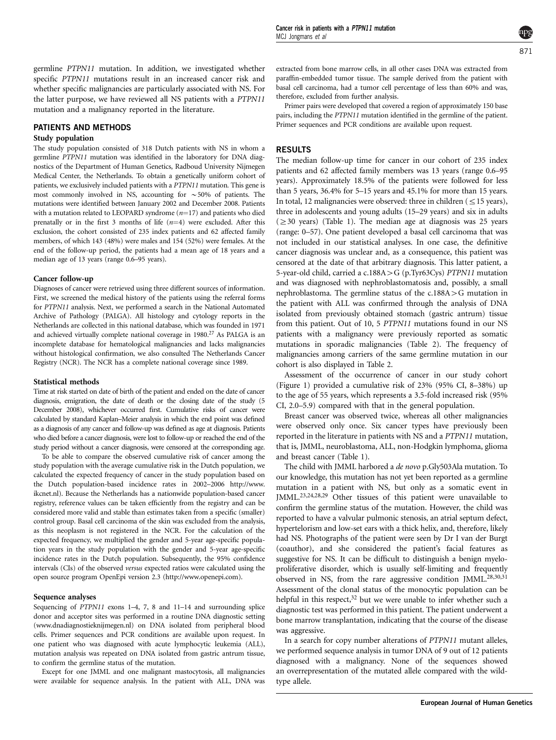germline PTPN11 mutation. In addition, we investigated whether specific PTPN11 mutations result in an increased cancer risk and whether specific malignancies are particularly associated with NS. For the latter purpose, we have reviewed all NS patients with a PTPN11 mutation and a malignancy reported in the literature.

## PATIENTS AND METHODS

#### Study population

The study population consisted of 318 Dutch patients with NS in whom a germline PTPN11 mutation was identified in the laboratory for DNA diagnostics of the Department of Human Genetics, Radboud University Nijmegen Medical Center, the Netherlands. To obtain a genetically uniform cohort of patients, we exclusively included patients with a PTPN11 mutation. This gene is most commonly involved in NS, accounting for  $\sim$  50% of patients. The mutations were identified between January 2002 and December 2008. Patients with a mutation related to LEOPARD syndrome  $(n=17)$  and patients who died prenatally or in the first 3 months of life  $(n=4)$  were excluded. After this exclusion, the cohort consisted of 235 index patients and 62 affected family members, of which 143 (48%) were males and 154 (52%) were females. At the end of the follow-up period, the patients had a mean age of 18 years and a median age of 13 years (range 0.6–95 years).

#### Cancer follow-up

Diagnoses of cancer were retrieved using three different sources of information. First, we screened the medical history of the patients using the referral forms for PTPN11 analysis. Next, we performed a search in the National Automated Archive of Pathology (PALGA). All histology and cytology reports in the Netherlands are collected in this national database, which was founded in 1971 and achieved virtually complete national coverage in 1980.<sup>[27](#page-4-0)</sup> As PALGA is an incomplete database for hematological malignancies and lacks malignancies without histological confirmation, we also consulted The Netherlands Cancer Registry (NCR). The NCR has a complete national coverage since 1989.

#### Statistical methods

Time at risk started on date of birth of the patient and ended on the date of cancer diagnosis, emigration, the date of death or the closing date of the study (5 December 2008), whichever occurred first. Cumulative risks of cancer were calculated by standard Kaplan–Meier analysis in which the end point was defined as a diagnosis of any cancer and follow-up was defined as age at diagnosis. Patients who died before a cancer diagnosis, were lost to follow-up or reached the end of the study period without a cancer diagnosis, were censored at the corresponding age.

To be able to compare the observed cumulative risk of cancer among the study population with the average cumulative risk in the Dutch population, we calculated the expected frequency of cancer in the study population based on the Dutch population-based incidence rates in 2002–2006 [http://www.](http://www.ikcnet.nl) [ikcnet.nl\)](http://www.ikcnet.nl). Because the Netherlands has a nationwide population-based cancer registry, reference values can be taken efficiently from the registry and can be considered more valid and stable than estimates taken from a specific (smaller) control group. Basal cell carcinoma of the skin was excluded from the analysis, as this neoplasm is not registered in the NCR. For the calculation of the expected frequency, we multiplied the gender and 5-year age-specific population years in the study population with the gender and 5-year age-specific incidence rates in the Dutch population. Subsequently, the 95% confidence intervals (CIs) of the observed versus expected ratios were calculated using the open source program OpenEpi version 2.3 [\(http://www.openepi.com](http://www.openepi.com)).

#### Sequence analyses

Sequencing of PTPN11 exons 1–4, 7, 8 and 11–14 and surrounding splice donor and acceptor sites was performed in a routine DNA diagnostic setting ([www.dnadiagnostieknijmegen.nl\)](www.dnadiagnostieknijmegen.nl) on DNA isolated from peripheral blood cells. Primer sequences and PCR conditions are available upon request. In one patient who was diagnosed with acute lymphocytic leukemia (ALL), mutation analysis was repeated on DNA isolated from gastric antrum tissue, to confirm the germline status of the mutation.

Except for one JMML and one malignant mastocytosis, all malignancies were available for sequence analysis. In the patient with ALL, DNA was

extracted from bone marrow cells, in all other cases DNA was extracted from paraffin-embedded tumor tissue. The sample derived from the patient with basal cell carcinoma, had a tumor cell percentage of less than 60% and was, therefore, excluded from further analysis.

Primer pairs were developed that covered a region of approximately 150 base pairs, including the PTPN11 mutation identified in the germline of the patient. Primer sequences and PCR conditions are available upon request.

#### RESULTS

The median follow-up time for cancer in our cohort of 235 index patients and 62 affected family members was 13 years (range 0.6–95 years). Approximately 18.5% of the patients were followed for less than 5 years, 36.4% for 5–15 years and 45.1% for more than 15 years. In total, 12 malignancies were observed: three in children  $(\leq15$  years), three in adolescents and young adults (15–29 years) and six in adults  $(\geq 30 \text{ years})$  ([Table 1\)](#page-2-0). The median age at diagnosis was 25 years (range: 0–57). One patient developed a basal cell carcinoma that was not included in our statistical analyses. In one case, the definitive cancer diagnosis was unclear and, as a consequence, this patient was censored at the date of that arbitrary diagnosis. This latter patient, a 5-year-old child, carried a c.188A > G (p.Tyr63Cys) PTPN11 mutation and was diagnosed with nephroblastomatosis and, possibly, a small nephroblastoma. The germline status of the  $c.188A > G$  mutation in the patient with ALL was confirmed through the analysis of DNA isolated from previously obtained stomach (gastric antrum) tissue from this patient. Out of 10, 5 PTPN11 mutations found in our NS patients with a malignancy were previously reported as somatic mutations in sporadic malignancies [\(Table 2](#page-3-0)). The frequency of malignancies among carriers of the same germline mutation in our cohort is also displayed in [Table 2.](#page-3-0)

Assessment of the occurrence of cancer in our study cohort [\(Figure 1](#page-3-0)) provided a cumulative risk of 23% (95% CI, 8–38%) up to the age of 55 years, which represents a 3.5-fold increased risk (95% CI, 2.0–5.9) compared with that in the general population.

Breast cancer was observed twice, whereas all other malignancies were observed only once. Six cancer types have previously been reported in the literature in patients with NS and a PTPN11 mutation, that is, JMML, neuroblastoma, ALL, non-Hodgkin lymphoma, glioma and breast cancer ([Table 1\)](#page-2-0).

The child with JMML harbored a de novo p.Gly503Ala mutation. To our knowledge, this mutation has not yet been reported as a germline mutation in a patient with NS, but only as a somatic event in JMML.<sup>23,24,28,29</sup> Other tissues of this patient were unavailable to confirm the germline status of the mutation. However, the child was reported to have a valvular pulmonic stenosis, an atrial septum defect, hypertelorism and low-set ears with a thick helix, and, therefore, likely had NS. Photographs of the patient were seen by Dr I van der Burgt (coauthor), and she considered the patient's facial features as suggestive for NS. It can be difficult to distinguish a benign myeloproliferative disorder, which is usually self-limiting and frequently observed in NS, from the rare aggressive condition JMML.<sup>[28,30,31](#page-4-0)</sup> Assessment of the clonal status of the monocytic population can be helpful in this respect, $32$  but we were unable to infer whether such a diagnostic test was performed in this patient. The patient underwent a bone marrow transplantation, indicating that the course of the disease was aggressive.

In a search for copy number alterations of PTPN11 mutant alleles, we performed sequence analysis in tumor DNA of 9 out of 12 patients diagnosed with a malignancy. None of the sequences showed an overrepresentation of the mutated allele compared with the wildtype allele.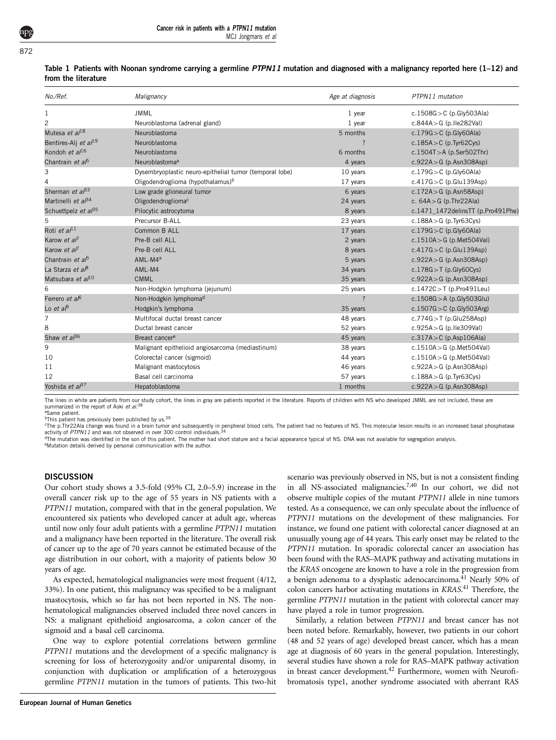| No./Ref.                         | Malignancy                                              | Age at diagnosis   | PTPN11 mutation                   |
|----------------------------------|---------------------------------------------------------|--------------------|-----------------------------------|
| $\mathbf{1}$                     | JMML                                                    | $1$ year           | c.1508G > C (p.Gly503Ala)         |
| 2                                | Neuroblastoma (adrenal gland)                           | 1 year             | c.844A > G (p.lle282Val)          |
| Mutesa et $a^{18}$               | Neuroblastoma                                           | 5 months           | $c.179G > C$ (p.Gly60Ala)         |
| Bentires-Alj et al <sup>19</sup> | Neuroblastoma                                           |                    | $c.185A > C$ (p. Tyr62Cys)        |
| Kondoh et $a^{16}$               | Neuroblastoma                                           | 6 months           | $c.1504T > A$ (p.Ser502Thr)       |
| Chantrain et a <sup>f5</sup>     | Neuroblastomaª                                          | 4 years            | $c.922A > G$ (p.Asn308Asp)        |
| 3                                | Dysembryoplastic neuro-epithelial tumor (temporal lobe) | 10 years           | c.179 $G > C$ (p.Gly60Ala)        |
| 4                                | Oligodendroglioma (hypothalamus) <sup>b</sup>           | 17 years           | $c.417G > C$ (p.Glu139Asp)        |
| Sherman et $a^{\beta 3}$         | Low grade glioneural tumor                              | 6 years            | $c.172A > G$ (p.Asn58Asp)         |
| Martinelli et $a^{\beta 4}$      | Oligodendroglioma <sup>c</sup>                          | 24 years           | c. $64A > G$ (p.Thr22Ala)         |
| Schuettpelz et al <sup>35</sup>  | Pilocytic astrocytoma                                   | 8 years            | c.1471_1472delinsTT (p.Pro491Phe) |
| 5                                | Precursor B-ALL                                         | 23 years           | $c.188A > G$ (p. Tyr63Cys)        |
| Roti et al <sup>11</sup>         | Common B ALL                                            | 17 years           | $c.179G > C$ (p.Gly60Ala)         |
| Karow et al <sup>7</sup>         | Pre-B cell ALL                                          | 2 years            | $c.1510A > G$ (p.Met504Val)       |
| Karow et al <sup>7</sup>         | Pre-B cell ALL                                          | 8 years            | $c.417G > C$ (p.Glu139Asp)        |
| Chantrain et al <sup>5</sup>     | AML-M4ª                                                 | 5 years            | $c.922A > G$ (p.Asn308Asp)        |
| La Starza et al <sup>8</sup>     | AML-M4                                                  | 34 years           | $c.178G > T$ (p.Gly60Cys)         |
| Matsubara et al <sup>10</sup>    | <b>CMML</b>                                             | 35 years           | $c.922A > G$ (p.Asn308Asp)        |
| 6                                | Non-Hodgkin lymphoma (jejunum)                          | 25 years           | $c.1472C > T$ (p.Pro491Leu)       |
| Ferrero et af <sup>6</sup>       | Non-Hodgkin lymphoma <sup>d</sup>                       | $\overline{\cdot}$ | $c.1508G > A$ (p.Gly503Glu)       |
| Lo et a $\beta$                  | Hodgkin's lymphoma                                      | 35 years           | c.1507G > $C$ (p.Gly503Arg)       |
| $\overline{7}$                   | Multifocal ductal breast cancer                         | 48 years           | $c.774G > T$ (p.Glu258Asp)        |
| 8                                | Ductal breast cancer                                    | 52 years           | c.925A > G (p.lle309Val)          |
| Shaw et $a^{36}$                 | Breast cancer <sup>e</sup>                              | 45 years           | $c.317A > C$ (p.Asp106Ala)        |
| 9                                | Malignant epithelioid angiosarcoma (mediastinum)        | 38 years           | $c.1510A > G$ (p.Met504Val)       |
| 10                               | Colorectal cancer (sigmoid)                             | 44 years           | $c.1510A > G$ (p.Met504Val)       |
| 11                               | Malignant mastocytosis                                  | 46 years           | $c.922A > G$ (p.Asn308Asp)        |
| 12                               | Basal cell carcinoma                                    | 57 years           | $c.188A > G$ (p. Tyr63Cys)        |
| Yoshida et al <sup>37</sup>      | Hepatoblastoma                                          | 1 months           | $c.922A > G$ (p.Asn308Asp)        |

|                     | Table 1 Patients with Noonan syndrome carrying a germline PTPN11 mutation and diagnosed with a malignancy reported here (1–12) and |  |  |  |  |  |
|---------------------|------------------------------------------------------------------------------------------------------------------------------------|--|--|--|--|--|
| from the literature |                                                                                                                                    |  |  |  |  |  |

The lines in white are patients from our study cohort, the lines in gray are patients reported in the literature. Reports of children with NS who developed JMML are not included, these are summarized in the report of Aoki *et al*.<sup>[38](#page-4-0)</sup> aSame patient

bThis patient has previously been published by us.<sup>39</sup>

<sup>c</sup>The p.Thr22Ala change was found in a brain tumor and subsequently in peripheral blood cells. The patient had no features of NS. This molecular lesion results in an increased basal phosphatase<br>contributed PTPM 1, and was activity of PTPN11 and was not observed in over 300 control individuals.

<sup>d</sup>The mutation was identified in the son of this patient. The mother had short stature and a facial appearance typical of NS. DNA was not available for segregation analysis.

eMutation details derived by personal communication with the author.

#### **DISCUSSION**

Our cohort study shows a 3.5-fold (95% CI, 2.0–5.9) increase in the overall cancer risk up to the age of 55 years in NS patients with a PTPN11 mutation, compared with that in the general population. We encountered six patients who developed cancer at adult age, whereas until now only four adult patients with a germline PTPN11 mutation and a malignancy have been reported in the literature. The overall risk of cancer up to the age of 70 years cannot be estimated because of the age distribution in our cohort, with a majority of patients below 30 years of age.

As expected, hematological malignancies were most frequent (4/12, 33%). In one patient, this malignancy was specified to be a malignant mastocytosis, which so far has not been reported in NS. The nonhematological malignancies observed included three novel cancers in NS: a malignant epithelioid angiosarcoma, a colon cancer of the sigmoid and a basal cell carcinoma.

One way to explore potential correlations between germline PTPN11 mutations and the development of a specific malignancy is screening for loss of heterozygosity and/or uniparental disomy, in conjunction with duplication or amplification of a heterozygous germline PTPN11 mutation in the tumors of patients. This two-hit

<span id="page-2-0"></span>European Journal of Human Genetics

scenario was previously observed in NS, but is not a consistent finding in all NS-associated malignancies[.7,40](#page-4-0) In our cohort, we did not observe multiple copies of the mutant PTPN11 allele in nine tumors tested. As a consequence, we can only speculate about the influence of PTPN11 mutations on the development of these malignancies. For instance, we found one patient with colorectal cancer diagnosed at an unusually young age of 44 years. This early onset may be related to the PTPN11 mutation. In sporadic colorectal cancer an association has been found with the RAS–MAPK pathway and activating mutations in the KRAS oncogene are known to have a role in the progression from a benign adenoma to a dysplastic adenocarcinoma.[41](#page-4-0) Nearly 50% of colon cancers harbor activating mutations in KRAS.<sup>[41](#page-4-0)</sup> Therefore, the germline PTPN11 mutation in the patient with colorectal cancer may have played a role in tumor progression.

Similarly, a relation between PTPN11 and breast cancer has not been noted before. Remarkably, however, two patients in our cohort (48 and 52 years of age) developed breast cancer, which has a mean age at diagnosis of 60 years in the general population. Interestingly, several studies have shown a role for RAS–MAPK pathway activation in breast cancer development.<sup>42</sup> Furthermore, women with Neurofibromatosis type1, another syndrome associated with aberrant RAS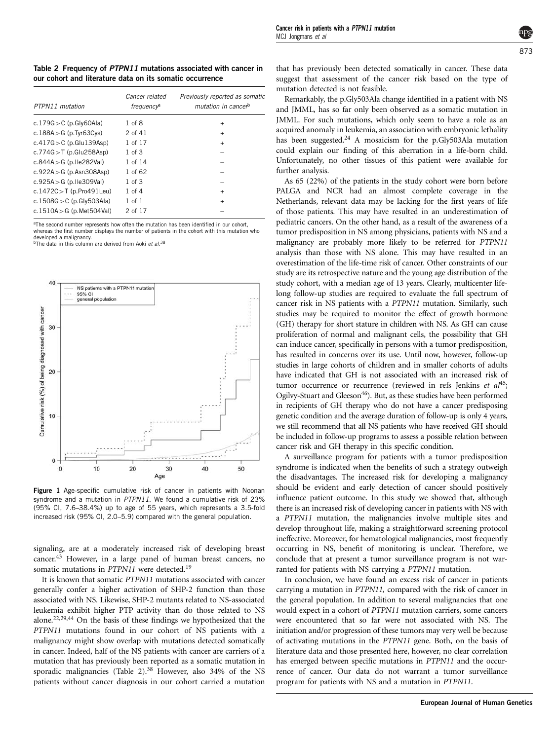Table 2 Frequency of PTPN11 mutations associated with cancer in our cohort and literature data on its somatic occurrence

| PTPN11 mutation             | Cancer related<br>frequency <sup>a</sup> | Previously reported as somatic<br>mutation in cancer <sup>b</sup> |
|-----------------------------|------------------------------------------|-------------------------------------------------------------------|
| c.179 $G > C$ (p.Gly60Ala)  | 1 of 8                                   | $\ddot{}$                                                         |
| c.188A $>$ G (p.Tyr63Cys)   | 2 of 41                                  | $\ddot{}$                                                         |
| $c.417G > C$ (p.Glu139Asp)  | 1 of 17                                  | $\ddot{}$                                                         |
| $c.774G > T$ (p.Glu258Asp)  | $1$ of $3$                               |                                                                   |
| c.844A $>$ G (p.Ile282Val)  | 1 of 14                                  |                                                                   |
| $c.922A > G$ (p.Asn308Asp)  | 1 of 62                                  |                                                                   |
| $c.925A > G$ (p.lle309Val)  | $1$ of $3$                               |                                                                   |
| c.1472C $>$ T (p.Pro491Leu) | $1$ of $4$                               | $\ddot{}$                                                         |
| c.1508G $>$ C (p.Gly503Ala) | $1$ of $1$                               | $\ddot{}$                                                         |
| c.1510A > G (p.Met504Val)   | 2 of 17                                  |                                                                   |
|                             |                                          |                                                                   |

<sup>a</sup>The second number represents how often the mutation has been identified in our cohort. whereas the first number displays the number of patients in the cohort with this mutation who developed a malignancy.

<sup>b</sup>The data in this column are derived from Aoki et al.<sup>[38](#page-4-0)</sup>



Figure 1 Age-specific cumulative risk of cancer in patients with Noonan syndrome and a mutation in PTPN11. We found a cumulative risk of 23% (95% CI, 7.6–38.4%) up to age of 55 years, which represents a 3.5-fold increased risk (95% CI, 2.0–5.9) compared with the general population.

signaling, are at a moderately increased risk of developing breast cancer[.43](#page-4-0) However, in a large panel of human breast cancers, no somatic mutations in PTPN11 were detected.<sup>[19](#page-4-0)</sup>

<span id="page-3-0"></span>It is known that somatic PTPN11 mutations associated with cancer generally confer a higher activation of SHP-2 function than those associated with NS. Likewise, SHP-2 mutants related to NS-associated leukemia exhibit higher PTP activity than do those related to NS alone.[22,29,44](#page-4-0) On the basis of these findings we hypothesized that the PTPN11 mutations found in our cohort of NS patients with a malignancy might show overlap with mutations detected somatically in cancer. Indeed, half of the NS patients with cancer are carriers of a mutation that has previously been reported as a somatic mutation in sporadic malignancies [\(Table 2](#page-3-0)).<sup>38</sup> However, also 34% of the NS patients without cancer diagnosis in our cohort carried a mutation

that has previously been detected somatically in cancer. These data suggest that assessment of the cancer risk based on the type of mutation detected is not feasible.

Remarkably, the p.Gly503Ala change identified in a patient with NS and JMML, has so far only been observed as a somatic mutation in JMML. For such mutations, which only seem to have a role as an acquired anomaly in leukemia, an association with embryonic lethality has been suggested.<sup>24</sup> A mosaicism for the p.Gly503Ala mutation could explain our finding of this aberration in a life-born child. Unfortunately, no other tissues of this patient were available for further analysis.

As 65 (22%) of the patients in the study cohort were born before PALGA and NCR had an almost complete coverage in the Netherlands, relevant data may be lacking for the first years of life of those patients. This may have resulted in an underestimation of pediatric cancers. On the other hand, as a result of the awareness of a tumor predisposition in NS among physicians, patients with NS and a malignancy are probably more likely to be referred for PTPN11 analysis than those with NS alone. This may have resulted in an overestimation of the life-time risk of cancer. Other constraints of our study are its retrospective nature and the young age distribution of the study cohort, with a median age of 13 years. Clearly, multicenter lifelong follow-up studies are required to evaluate the full spectrum of cancer risk in NS patients with a PTPN11 mutation. Similarly, such studies may be required to monitor the effect of growth hormone (GH) therapy for short stature in children with NS. As GH can cause proliferation of normal and malignant cells, the possibility that GH can induce cancer, specifically in persons with a tumor predisposition, has resulted in concerns over its use. Until now, however, follow-up studies in large cohorts of children and in smaller cohorts of adults have indicated that GH is not associated with an increased risk of tumor occurrence or recurrence (reviewed in refs Jenkins et  $aI^{45}$ ; Ogilvy-Stuart and Gleeson<sup>46</sup>). But, as these studies have been performed in recipients of GH therapy who do not have a cancer predisposing genetic condition and the average duration of follow-up is only 4 years, we still recommend that all NS patients who have received GH should be included in follow-up programs to assess a possible relation between cancer risk and GH therapy in this specific condition.

A surveillance program for patients with a tumor predisposition syndrome is indicated when the benefits of such a strategy outweigh the disadvantages. The increased risk for developing a malignancy should be evident and early detection of cancer should positively influence patient outcome. In this study we showed that, although there is an increased risk of developing cancer in patients with NS with a PTPN11 mutation, the malignancies involve multiple sites and develop throughout life, making a straightforward screening protocol ineffective. Moreover, for hematological malignancies, most frequently occurring in NS, benefit of monitoring is unclear. Therefore, we conclude that at present a tumor surveillance program is not warranted for patients with NS carrying a PTPN11 mutation.

In conclusion, we have found an excess risk of cancer in patients carrying a mutation in PTPN11, compared with the risk of cancer in the general population. In addition to several malignancies that one would expect in a cohort of PTPN11 mutation carriers, some cancers were encountered that so far were not associated with NS. The initiation and/or progression of these tumors may very well be because of activating mutations in the PTPN11 gene. Both, on the basis of literature data and those presented here, however, no clear correlation has emerged between specific mutations in PTPN11 and the occurrence of cancer. Our data do not warrant a tumor surveillance program for patients with NS and a mutation in PTPN11.